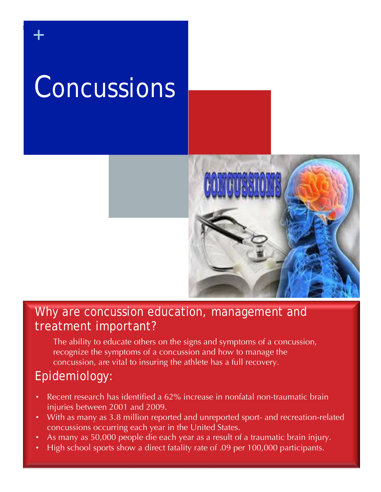# Concussions

f

+



### Why are concussion education, management and treatment important?

The ability to educate others on the signs and symptoms of a concussion, recognize the symptoms of a concussion and how to manage the concussion, are vital to insuring the athlete has a full recovery.

### Epidemiology:

- Recent research has identified a 62% increase in nonfatal non-traumatic brain injuries between 2001 and 2009.
- With as many as 3.8 million reported and unreported sport- and recreation-related concussions occurring each year in the United States.

22

- As many as 50,000 people die each year as a result of a traumatic brain injury.
- High school sports show a direct fatality rate of .09 per 100,000 participants.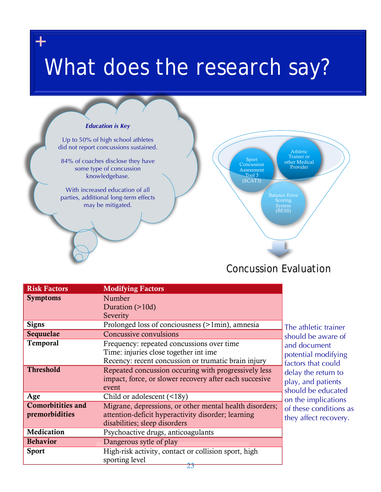## What does the research say?

+



### Concussion Evaluation

| <b>Risk Factors</b>      | <b>Modifying Factors</b>                                |
|--------------------------|---------------------------------------------------------|
| <b>Symptoms</b>          | Number                                                  |
|                          | Duration $(>10d)$                                       |
|                          | Severity                                                |
| <b>Signs</b>             | Prolonged loss of conciousness (>1min), amnesia         |
| Sequuelae                | Concussive convulsions                                  |
| <b>Temporal</b>          | Frequency: repeated concussions over time               |
|                          | Time: injuries close together int ime                   |
|                          | Recency: recent concussion or trumatic brain injury     |
| <b>Threshold</b>         | Repeated concussion occuring with progressively less    |
|                          | impact, force, or slower recovery after each succesive  |
|                          | event                                                   |
| Age                      | Child or adolescent $(\leq 18y)$                        |
| <b>Comorbitities and</b> | Migrane, depressions, or other mental health disorders; |
| premorbidities           | attention-deficit hyperactivity disorder; learning      |
|                          | disabilities; sleep disorders                           |
| Medication               | Psychoactive drugs, anticoagulants                      |
| <b>Behavior</b>          | Dangerous sytle of play                                 |
| <b>Sport</b>             | High-risk activity, contact or collision sport, high    |
|                          | sporting level                                          |

The athletic trainer should be aware of and document potential modifying factors that could delay the return to play, and patients should be educated on the implications of these conditions as they affect recovery.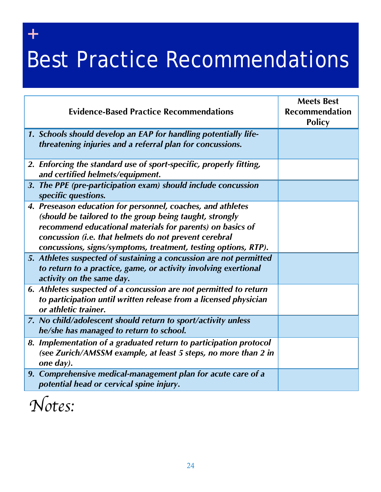## Best Practice Recommendations

| <b>Evidence-Based Practice Recommendations</b>                                                                                                                                                                                                                                                                 | <b>Meets Best</b><br><b>Recommendation</b><br><b>Policy</b> |
|----------------------------------------------------------------------------------------------------------------------------------------------------------------------------------------------------------------------------------------------------------------------------------------------------------------|-------------------------------------------------------------|
| 1. Schools should develop an EAP for handling potentially life-<br>threatening injuries and a referral plan for concussions.                                                                                                                                                                                   |                                                             |
| 2. Enforcing the standard use of sport-specific, properly fitting,<br>and certified helmets/equipment.                                                                                                                                                                                                         |                                                             |
| 3. The PPE (pre-participation exam) should include concussion<br>specific questions.                                                                                                                                                                                                                           |                                                             |
| 4. Preseason education for personnel, coaches, and athletes<br>(should be tailored to the group being taught, strongly<br>recommend educational materials for parents) on basics of<br>concussion (i.e. that helmets do not prevent cerebral<br>concussions, signs/symptoms, treatment, testing options, RTP). |                                                             |
| 5. Athletes suspected of sustaining a concussion are not permitted<br>to return to a practice, game, or activity involving exertional<br>activity on the same day.                                                                                                                                             |                                                             |
| 6. Athletes suspected of a concussion are not permitted to return<br>to participation until written release from a licensed physician<br>or athletic trainer.                                                                                                                                                  |                                                             |
| 7. No child/adolescent should return to sport/activity unless<br>he/she has managed to return to school.                                                                                                                                                                                                       |                                                             |
| 8. Implementation of a graduated return to participation protocol<br>(see Zurich/AMSSM example, at least 5 steps, no more than 2 in<br>one day).                                                                                                                                                               |                                                             |
| 9. Comprehensive medical-management plan for acute care of a<br>potential head or cervical spine injury.                                                                                                                                                                                                       |                                                             |

*Notes:*

+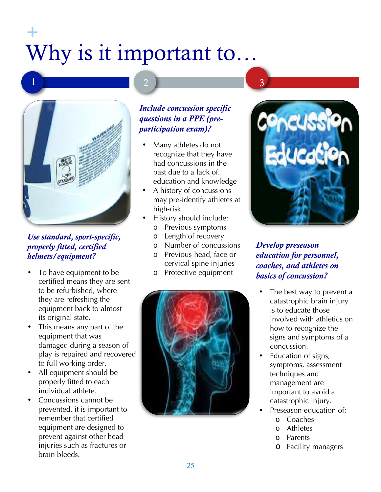### Why is it important to… +



### *Use standard, sport-specific, properly fitted, certified helmets/equipment?*

- To have equipment to be certified means they are sent to be refurbished, where they are refreshing the equipment back to almost its original state.
- This means any part of the equipment that was damaged during a season of play is repaired and recovered to full working order.
- All equipment should be properly fitted to each individual athlete.
- Concussions cannot be prevented, it is important to remember that certified equipment are designed to prevent against other head injuries such as fractures or brain bleeds.

### *Include concussion specific questions in a PPE (preparticipation exam)?*

- Many athletes do not recognize that they have had concussions in the past due to a lack of. education and knowledge
- A history of concussions may pre-identify athletes at high-risk.
- History should include:
	- o Previous symptoms
	- o Length of recovery
	- o Number of concussions
	- o Previous head, face or cervical spine injuries
	- o Protective equipment





### *Develop preseason education for personnel, coaches, and athletes on basics of concussion?*

- The best way to prevent a catastrophic brain injury is to educate those involved with athletics on how to recognize the signs and symptoms of a concussion.
- Education of signs, symptoms, assessment techniques and management are important to avoid a catastrophic injury.
- Preseason education of:
	- o Coaches
	- o Athletes
	- o Parents
	- o Facility managers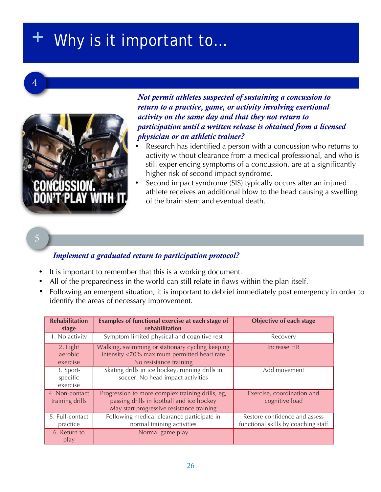### Why is it important to...



*Not permit athletes suspected of sustaining a concussion to return to a practice, game, or activity involving exertional activity on the same day and that they not return to participation until a written release is obtained from a licensed physician or an athletic trainer?*

- Research has identified a person with a concussion who returns to activity without clearance from a medical professional, and who is still experiencing symptoms of a concussion, are at a significantly higher risk of second impact syndrome.
- Second impact syndrome (SIS) typically occurs after an injured athlete receives an additional blow to the head causing a swelling of the brain stem and eventual death.

### 5

#### *Implement a graduated return to participation protocol?*

- It is important to remember that this is a working document.
- All of the preparedness in the world can still relate in flaws within the plan itself.
- Following an emergent situation, it is important to debrief immediately post emergency in order to identify the areas of necessary improvement.

| <b>Rehabilitation</b><br>stage    | Examples of functional exercise at each stage of<br>rehabilitation                                                                         | <b>Objective of each stage</b>                                       |
|-----------------------------------|--------------------------------------------------------------------------------------------------------------------------------------------|----------------------------------------------------------------------|
| 1. No activity                    | Symptom limited physical and cognitive rest                                                                                                | Recovery                                                             |
| 2. Light<br>aerobic<br>exercise   | Walking, swimming or stationary cycling keeping<br>intensity <70% maximum permitted heart rate<br>No resistance training                   | Increase HR                                                          |
| 3. Sport-<br>specific<br>exercise | Skating drills in ice hockey, running drills in<br>soccer. No head impact activities                                                       | Add movement                                                         |
| 4. Non-contact<br>training drills | Progression to more complex training drills, eg,<br>passing drills in football and ice hockey<br>May start progressive resistance training | Exercise, coordination and<br>cognitive load                         |
| 5. Full-contact<br>practice       | Following medical clearance participate in<br>normal training activities                                                                   | Restore confidence and assess<br>functional skills by coaching staff |
| 6. Return to<br>play              | Normal game play                                                                                                                           |                                                                      |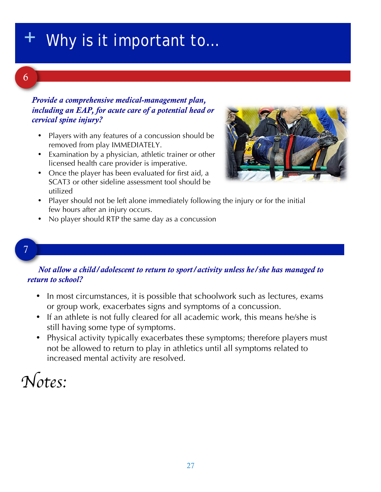### Why is it important to...

### 6

#### *Provide a comprehensive medical-management plan, including an EAP, for acute care of a potential head or cervical spine injury?*

- Players with any features of a concussion should be removed from play IMMEDIATELY.
- Examination by a physician, athletic trainer or other licensed health care provider is imperative.
- Once the player has been evaluated for first aid, a SCAT3 or other sideline assessment tool should be utilized



- Player should not be left alone immediately following the injury or for the initial few hours after an injury occurs.
- No player should RTP the same day as a concussion

#### 7

#### *Not allow a child/adolescent to return to sport/activity unless he/she has managed to return to school?*

- In most circumstances, it is possible that schoolwork such as lectures, exams or group work, exacerbates signs and symptoms of a concussion.
- If an athlete is not fully cleared for all academic work, this means he/she is still having some type of symptoms.
- Physical activity typically exacerbates these symptoms; therefore players must not be allowed to return to play in athletics until all symptoms related to increased mental activity are resolved.

### *Notes:*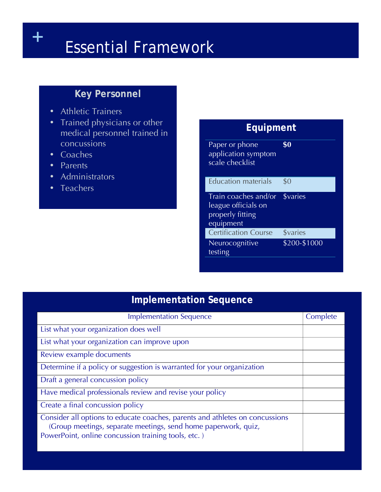## + Essential Framework

### **Key Personnel**

- Athletic Trainers
- Trained physicians or other medical personnel trained in concussions
- Coaches
- Parents
- Administrators
- Teachers

### **Equipment** Paper or phone application symptom scale checklist **\$0** Education materials \$0 Train coaches and/or \$varies league officials on properly fitting equipment **Certification Course** \$varies Neurocognitive testing \$200-\$1000

### **Implementation Sequence**

| <b>Implementation Sequence</b>                                                                                                                                                                        | Complete |  |
|-------------------------------------------------------------------------------------------------------------------------------------------------------------------------------------------------------|----------|--|
| List what your organization does well                                                                                                                                                                 |          |  |
| List what your organization can improve upon                                                                                                                                                          |          |  |
| Review example documents                                                                                                                                                                              |          |  |
| Determine if a policy or suggestion is warranted for your organization                                                                                                                                |          |  |
| Draft a general concussion policy                                                                                                                                                                     |          |  |
| Have medical professionals review and revise your policy                                                                                                                                              |          |  |
| Create a final concussion policy                                                                                                                                                                      |          |  |
| Consider all options to educate coaches, parents and athletes on concussions<br>(Group meetings, separate meetings, send home paperwork, quiz,<br>PowerPoint, online concussion training tools, etc.) |          |  |